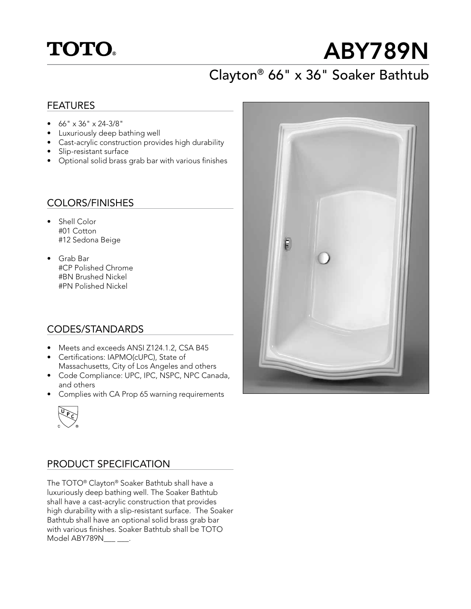## **TOTO.**

# ABY789N

## Clayton® 66" x 36" Soaker Bathtub

#### FEATURES

- 66" x 36" x 24-3/8"
- Luxuriously deep bathing well
- Cast-acrylic construction provides high durability
- Slip-resistant surface
- Optional solid brass grab bar with various finishes

#### COLORS/FINISHES

- Shell Color #01 Cotton #12 Sedona Beige
- Grab Bar #CP Polished Chrome #BN Brushed Nickel #PN Polished Nickel

#### CODES/STANDARDS

- Meets and exceeds ANSI Z124.1.2, CSA B45
- Certifications: IAPMO(cUPC), State of Massachusetts, City of Los Angeles and others
- Code Compliance: UPC, IPC, NSPC, NPC Canada, and others
- Complies with CA Prop 65 warning requirements



#### PRODUCT SPECIFICATION

The TOTO® Clayton® Soaker Bathtub shall have a luxuriously deep bathing well. The Soaker Bathtub shall have a cast-acrylic construction that provides high durability with a slip-resistant surface. The Soaker Bathtub shall have an optional solid brass grab bar with various finishes. Soaker Bathtub shall be TOTO Model ABY789N\_\_\_ \_\_\_.